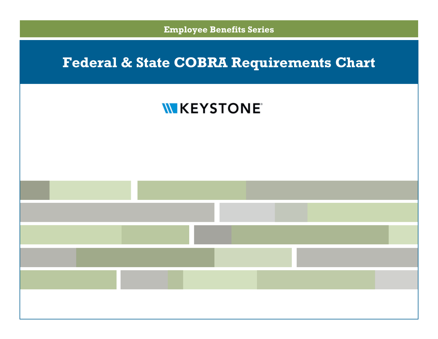**Employee Benefits Series**

## **Federal & State COBRA Requirements Chart**

## **WKEYSTONE**

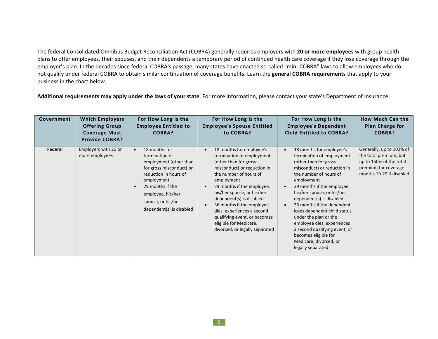The federal Consolidated Omnibus Budget Reconciliation Act (COBRA) generally requires employers with **20 or more employees** with group health plans to offer employees, their spouses, and their dependents a temporary period of continued health care coverage if they lose coverage through the employer's plan. In the decades since federal COBRA's passage, many states have enacted so-called "mini-COBRA" laws to allow employees who do not qualify under federal COBRA to obtain similar continuation of coverage benefits. Learn the **general COBRA requirements** that apply to your business in the chart below.

**Additional requirements may apply under the laws of your state**. For more information, please contact your state's Department of Insurance.

| Government | <b>Which Employers</b><br><b>Offering Group</b><br><b>Coverage Must</b><br><b>Provide COBRA?</b> | For How Long is the<br><b>Employee Entitled to</b><br><b>COBRA?</b>                                                                                                                                                     | For How Long is the<br><b>Employee's Spouse Entitled</b><br>to COBRA?                                                                                                                                                                                                                                                                                                                                 | For How Long is the<br><b>Employee's Dependent</b><br><b>Child Entitled to COBRA?</b>                                                                                                                                                                                                                                                                                                                                                                                                                              | <b>How Much Can the</b><br>Plan Charge for<br><b>COBRA?</b>                                                                       |
|------------|--------------------------------------------------------------------------------------------------|-------------------------------------------------------------------------------------------------------------------------------------------------------------------------------------------------------------------------|-------------------------------------------------------------------------------------------------------------------------------------------------------------------------------------------------------------------------------------------------------------------------------------------------------------------------------------------------------------------------------------------------------|--------------------------------------------------------------------------------------------------------------------------------------------------------------------------------------------------------------------------------------------------------------------------------------------------------------------------------------------------------------------------------------------------------------------------------------------------------------------------------------------------------------------|-----------------------------------------------------------------------------------------------------------------------------------|
| Federal    | Employers with 20 or<br>more employees                                                           | 18 months for<br>termination of<br>employment (other than<br>for gross misconduct) or<br>reduction in hours of<br>employment<br>29 months if the<br>employee, his/her<br>spouse, or his/her<br>dependent(s) is disabled | 18 months for employee's<br>termination of employment<br>(other than for gross)<br>misconduct) or reduction in<br>the number of hours of<br>employment<br>29 months if the employee,<br>his/her spouse, or his/her<br>dependent(s) is disabled<br>36 months if the employee<br>dies, experiences a second<br>qualifying event, or becomes<br>eligible for Medicare,<br>divorced, or legally separated | 18 months for employee's<br>$\bullet$<br>termination of employment<br>(other than for gross)<br>misconduct) or reduction in<br>the number of hours of<br>employment<br>29 months if the employee,<br>$\bullet$<br>his/her spouse, or his/her<br>dependent(s) is disabled<br>36 months if the dependent<br>$\bullet$<br>loses dependent child status<br>under the plan or the<br>employee dies, experiences<br>a second qualifying event, or<br>becomes eligible for<br>Medicare, divorced, or<br>legally separated | Generally, up to 102% of<br>the total premium, but<br>up to 150% of the total<br>premium for coverage<br>months 19-29 if disabled |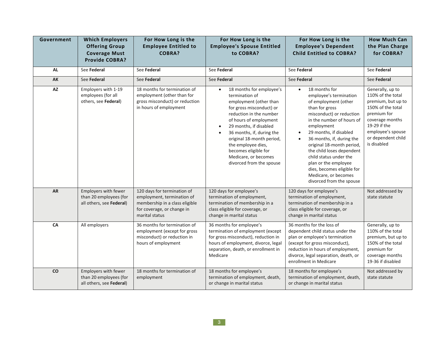| Government | <b>Which Employers</b><br><b>Offering Group</b><br><b>Coverage Must</b><br><b>Provide COBRA?</b> | For How Long is the<br><b>Employee Entitled to</b><br><b>COBRA?</b>                                                                         | For How Long is the<br><b>Employee's Spouse Entitled</b><br>to COBRA?                                                                                                                                                                                                                                                                                                 | For How Long is the<br><b>Employee's Dependent</b><br><b>Child Entitled to COBRA?</b>                                                                                                                                                                                                                                                                                                                                                                | <b>How Much Can</b><br>the Plan Charge<br>for COBRA?                                                                                                                                         |
|------------|--------------------------------------------------------------------------------------------------|---------------------------------------------------------------------------------------------------------------------------------------------|-----------------------------------------------------------------------------------------------------------------------------------------------------------------------------------------------------------------------------------------------------------------------------------------------------------------------------------------------------------------------|------------------------------------------------------------------------------------------------------------------------------------------------------------------------------------------------------------------------------------------------------------------------------------------------------------------------------------------------------------------------------------------------------------------------------------------------------|----------------------------------------------------------------------------------------------------------------------------------------------------------------------------------------------|
| <b>AL</b>  | See Federal                                                                                      | See Federal                                                                                                                                 | See Federal                                                                                                                                                                                                                                                                                                                                                           | See Federal                                                                                                                                                                                                                                                                                                                                                                                                                                          | See Federal                                                                                                                                                                                  |
| AK         | See Federal                                                                                      | See Federal                                                                                                                                 | See Federal                                                                                                                                                                                                                                                                                                                                                           | See Federal                                                                                                                                                                                                                                                                                                                                                                                                                                          | See Federal                                                                                                                                                                                  |
| AZ         | Employers with 1-19<br>employees (for all<br>others, see Federal)                                | 18 months for termination of<br>employment (other than for<br>gross misconduct) or reduction<br>in hours of employment                      | 18 months for employee's<br>$\bullet$<br>termination of<br>employment (other than<br>for gross misconduct) or<br>reduction in the number<br>of hours of employment<br>29 months, if disabled<br>$\bullet$<br>36 months, if, during the<br>original 18-month period,<br>the employee dies,<br>becomes eligible for<br>Medicare, or becomes<br>divorced from the spouse | 18 months for<br>$\bullet$<br>employee's termination<br>of employment (other<br>than for gross<br>misconduct) or reduction<br>in the number of hours of<br>employment<br>29 months, if disabled<br>$\bullet$<br>36 months, if, during the<br>$\bullet$<br>original 18-month period,<br>the child loses dependent<br>child status under the<br>plan or the employee<br>dies, becomes eligible for<br>Medicare, or becomes<br>divorced from the spouse | Generally, up to<br>110% of the total<br>premium, but up to<br>150% of the total<br>premium for<br>coverage months<br>19-29 if the<br>employee's spouse<br>or dependent child<br>is disabled |
| <b>AR</b>  | Employers with fewer<br>than 20 employees (for<br>all others, see Federal)                       | 120 days for termination of<br>employment, termination of<br>membership in a class eligible<br>for coverage, or change in<br>marital status | 120 days for employee's<br>termination of employment,<br>termination of membership in a<br>class eligible for coverage, or<br>change in marital status                                                                                                                                                                                                                | 120 days for employee's<br>termination of employment,<br>termination of membership in a<br>class eligible for coverage, or<br>change in marital status                                                                                                                                                                                                                                                                                               | Not addressed by<br>state statute                                                                                                                                                            |
| CA         | All employers                                                                                    | 36 months for termination of<br>employment (except for gross<br>misconduct) or reduction in<br>hours of employment                          | 36 months for employee's<br>termination of employment (except<br>for gross misconduct), reduction in<br>hours of employment, divorce, legal<br>separation, death, or enrollment in<br>Medicare                                                                                                                                                                        | 36 months for the loss of<br>dependent child status under the<br>plan or employee's termination<br>(except for gross misconduct),<br>reduction in hours of employment,<br>divorce, legal separation, death, or<br>enrollment in Medicare                                                                                                                                                                                                             | Generally, up to<br>110% of the total<br>premium, but up to<br>150% of the total<br>premium for<br>coverage months<br>19-36 if disabled                                                      |
| co         | Employers with fewer<br>than 20 employees (for<br>all others, see Federal)                       | 18 months for termination of<br>employment                                                                                                  | 18 months for employee's<br>termination of employment, death,<br>or change in marital status                                                                                                                                                                                                                                                                          | 18 months for employee's<br>termination of employment, death,<br>or change in marital status                                                                                                                                                                                                                                                                                                                                                         | Not addressed by<br>state statute                                                                                                                                                            |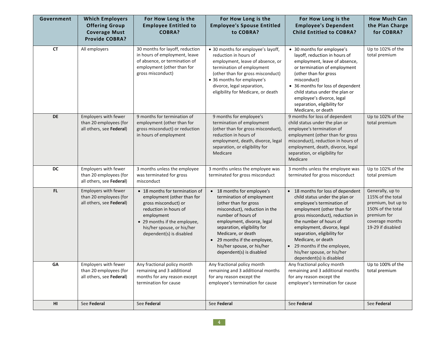| Government | <b>Which Employers</b><br><b>Offering Group</b><br><b>Coverage Must</b><br><b>Provide COBRA?</b> | For How Long is the<br><b>Employee Entitled to</b><br><b>COBRA?</b>                                                                                                                                                   | For How Long is the<br><b>Employee's Spouse Entitled</b><br>to COBRA?                                                                                                                                                                                                                                                           | For How Long is the<br><b>Employee's Dependent</b><br><b>Child Entitled to COBRA?</b>                                                                                                                                                                                                                                                                                               | <b>How Much Can</b><br>the Plan Charge<br>for COBRA?                                                                                    |
|------------|--------------------------------------------------------------------------------------------------|-----------------------------------------------------------------------------------------------------------------------------------------------------------------------------------------------------------------------|---------------------------------------------------------------------------------------------------------------------------------------------------------------------------------------------------------------------------------------------------------------------------------------------------------------------------------|-------------------------------------------------------------------------------------------------------------------------------------------------------------------------------------------------------------------------------------------------------------------------------------------------------------------------------------------------------------------------------------|-----------------------------------------------------------------------------------------------------------------------------------------|
| <b>CT</b>  | All employers                                                                                    | 30 months for layoff, reduction<br>in hours of employment, leave<br>of absence, or termination of<br>employment (other than for<br>gross misconduct)                                                                  | • 30 months for employee's layoff,<br>reduction in hours of<br>employment, leave of absence, or<br>termination of employment<br>(other than for gross misconduct)<br>• 36 months for employee's<br>divorce, legal separation,<br>eligibility for Medicare, or death                                                             | • 30 months for employee's<br>layoff, reduction in hours of<br>employment, leave of absence,<br>or termination of employment<br>(other than for gross<br>misconduct)<br>• 36 months for loss of dependent<br>child status under the plan or<br>employee's divorce, legal<br>separation, eligibility for<br>Medicare, or death                                                       | Up to 102% of the<br>total premium                                                                                                      |
| <b>DE</b>  | Employers with fewer<br>than 20 employees (for<br>all others, see Federal)                       | 9 months for termination of<br>employment (other than for<br>gross misconduct) or reduction<br>in hours of employment                                                                                                 | 9 months for employee's<br>termination of employment<br>(other than for gross misconduct),<br>reduction in hours of<br>employment, death, divorce, legal<br>separation, or eligibility for<br>Medicare                                                                                                                          | 9 months for loss of dependent<br>child status under the plan or<br>employee's termination of<br>employment (other than for gross<br>misconduct), reduction in hours of<br>employment, death, divorce, legal<br>separation, or eligibility for<br>Medicare                                                                                                                          | Up to 102% of the<br>total premium                                                                                                      |
| DC         | Employers with fewer<br>than 20 employees (for<br>all others, see Federal)                       | 3 months unless the employee<br>was terminated for gross<br>misconduct                                                                                                                                                | 3 months unless the employee was<br>terminated for gross misconduct                                                                                                                                                                                                                                                             | 3 months unless the employee was<br>terminated for gross misconduct                                                                                                                                                                                                                                                                                                                 | Up to 102% of the<br>total premium                                                                                                      |
| <b>FL</b>  | Employers with fewer<br>than 20 employees (for<br>all others, see Federal)                       | • 18 months for termination of<br>employment (other than for<br>gross misconduct) or<br>reduction in hours of<br>employment<br>• 29 months if the employee,<br>his/her spouse, or his/her<br>dependent(s) is disabled | • 18 months for employee's<br>termination of employment<br>(other than for gross<br>misconduct), reduction in the<br>number of hours of<br>employment, divorce, legal<br>separation, eligibility for<br>Medicare, or death<br>29 months if the employee,<br>$\bullet$<br>his/her spouse, or his/her<br>dependent(s) is disabled | • 18 months for loss of dependent<br>child status under the plan or<br>employee's termination of<br>employment (other than for<br>gross misconduct), reduction in<br>the number of hours of<br>employment, divorce, legal<br>separation, eligibility for<br>Medicare, or death<br>29 months if the employee,<br>$\bullet$<br>his/her spouse, or his/her<br>dependent(s) is disabled | Generally, up to<br>115% of the total<br>premium, but up to<br>150% of the total<br>premium for<br>coverage months<br>19-29 if disabled |
| GA         | Employers with fewer<br>than 20 employees (for<br>all others, see Federal)                       | Any fractional policy month<br>remaining and 3 additional<br>months for any reason except<br>termination for cause                                                                                                    | Any fractional policy month<br>remaining and 3 additional months<br>for any reason except the<br>employee's termination for cause                                                                                                                                                                                               | Any fractional policy month<br>remaining and 3 additional months<br>for any reason except the<br>employee's termination for cause                                                                                                                                                                                                                                                   | Up to 100% of the<br>total premium                                                                                                      |
| HI         | See Federal                                                                                      | See Federal                                                                                                                                                                                                           | See Federal                                                                                                                                                                                                                                                                                                                     | See Federal                                                                                                                                                                                                                                                                                                                                                                         | See Federal                                                                                                                             |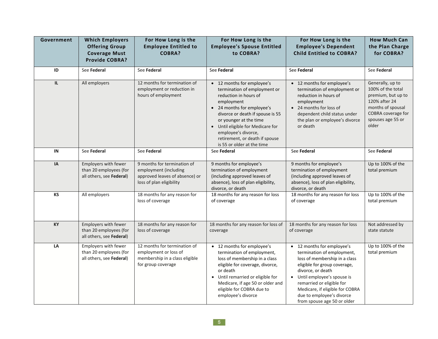| Government | <b>Which Employers</b><br><b>Offering Group</b><br><b>Coverage Must</b><br><b>Provide COBRA?</b> | For How Long is the<br><b>Employee Entitled to</b><br><b>COBRA?</b>                                                | For How Long is the<br><b>Employee's Spouse Entitled</b><br>to COBRA?                                                                                                                                                                                                                                                     | For How Long is the<br><b>Employee's Dependent</b><br><b>Child Entitled to COBRA?</b>                                                                                                                                                                                                                      | <b>How Much Can</b><br>the Plan Charge<br>for COBRA?                                                                                                  |
|------------|--------------------------------------------------------------------------------------------------|--------------------------------------------------------------------------------------------------------------------|---------------------------------------------------------------------------------------------------------------------------------------------------------------------------------------------------------------------------------------------------------------------------------------------------------------------------|------------------------------------------------------------------------------------------------------------------------------------------------------------------------------------------------------------------------------------------------------------------------------------------------------------|-------------------------------------------------------------------------------------------------------------------------------------------------------|
| ID         | See Federal                                                                                      | See Federal                                                                                                        | See Federal                                                                                                                                                                                                                                                                                                               | See Federal                                                                                                                                                                                                                                                                                                | See Federal                                                                                                                                           |
| IL         | All employers                                                                                    | 12 months for termination of<br>employment or reduction in<br>hours of employment                                  | • 12 months for employee's<br>termination of employment or<br>reduction in hours of<br>employment<br>• 24 months for employee's<br>divorce or death if spouse is 55<br>or younger at the time<br>• Until eligible for Medicare for<br>employee's divorce,<br>retirement, or death if spouse<br>is 55 or older at the time | • 12 months for employee's<br>termination of employment or<br>reduction in hours of<br>employment<br>• 24 months for loss of<br>dependent child status under<br>the plan or employee's divorce<br>or death                                                                                                 | Generally, up to<br>100% of the total<br>premium, but up to<br>120% after 24<br>months of spousal<br>COBRA coverage for<br>spouses age 55 or<br>older |
| IN         | See Federal                                                                                      | See Federal                                                                                                        | See Federal                                                                                                                                                                                                                                                                                                               | See Federal                                                                                                                                                                                                                                                                                                | See Federal                                                                                                                                           |
| IA         | Employers with fewer<br>than 20 employees (for<br>all others, see Federal)                       | 9 months for termination of<br>employment (including<br>approved leaves of absence) or<br>loss of plan eligibility | 9 months for employee's<br>termination of employment<br>(including approved leaves of<br>absence), loss of plan eligibility,<br>divorce, or death                                                                                                                                                                         | 9 months for employee's<br>termination of employment<br>(including approved leaves of<br>absence), loss of plan eligibility,<br>divorce, or death                                                                                                                                                          | Up to 100% of the<br>total premium                                                                                                                    |
| KS         | All employers                                                                                    | 18 months for any reason for<br>loss of coverage                                                                   | 18 months for any reason for loss<br>of coverage                                                                                                                                                                                                                                                                          | 18 months for any reason for loss<br>of coverage                                                                                                                                                                                                                                                           | Up to 100% of the<br>total premium                                                                                                                    |
| KY         | Employers with fewer<br>than 20 employees (for<br>all others, see Federal)                       | 18 months for any reason for<br>loss of coverage                                                                   | 18 months for any reason for loss of<br>coverage                                                                                                                                                                                                                                                                          | 18 months for any reason for loss<br>of coverage                                                                                                                                                                                                                                                           | Not addressed by<br>state statute                                                                                                                     |
| LA         | Employers with fewer<br>than 20 employees (for<br>all others, see Federal)                       | 12 months for termination of<br>employment or loss of<br>membership in a class eligible<br>for group coverage      | • 12 months for employee's<br>termination of employment,<br>loss of membership in a class<br>eligible for coverage, divorce,<br>or death<br>• Until remarried or eligible for<br>Medicare, if age 50 or older and<br>eligible for COBRA due to<br>employee's divorce                                                      | • 12 months for employee's<br>termination of employment,<br>loss of membership in a class<br>eligible for group coverage,<br>divorce, or death<br>• Until employee's spouse is<br>remarried or eligible for<br>Medicare, if eligible for COBRA<br>due to employee's divorce<br>from spouse age 50 or older | Up to 100% of the<br>total premium                                                                                                                    |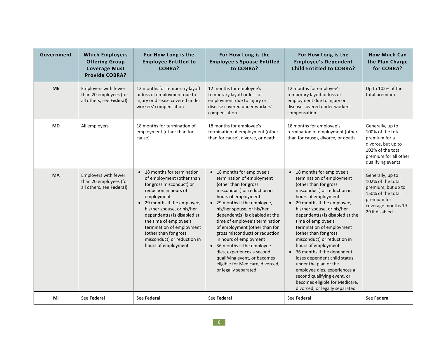| Government | <b>Which Employers</b><br><b>Offering Group</b><br><b>Coverage Must</b><br><b>Provide COBRA?</b> | For How Long is the<br><b>Employee Entitled to</b><br>COBRA?                                                                                                                                                                                                                                                                                                   | For How Long is the<br><b>Employee's Spouse Entitled</b><br>to COBRA?                                                                                                                                                                                                                                                                                                                                                                                                                                                           | For How Long is the<br><b>Employee's Dependent</b><br><b>Child Entitled to COBRA?</b>                                                                                                                                                                                                                                                                                                                                                                                                                                                                                                                 | <b>How Much Can</b><br>the Plan Charge<br>for COBRA?                                                                                            |
|------------|--------------------------------------------------------------------------------------------------|----------------------------------------------------------------------------------------------------------------------------------------------------------------------------------------------------------------------------------------------------------------------------------------------------------------------------------------------------------------|---------------------------------------------------------------------------------------------------------------------------------------------------------------------------------------------------------------------------------------------------------------------------------------------------------------------------------------------------------------------------------------------------------------------------------------------------------------------------------------------------------------------------------|-------------------------------------------------------------------------------------------------------------------------------------------------------------------------------------------------------------------------------------------------------------------------------------------------------------------------------------------------------------------------------------------------------------------------------------------------------------------------------------------------------------------------------------------------------------------------------------------------------|-------------------------------------------------------------------------------------------------------------------------------------------------|
| <b>ME</b>  | Employers with fewer<br>than 20 employees (for<br>all others, see Federal)                       | 12 months for temporary layoff<br>or loss of employment due to<br>injury or disease covered under<br>workers' compensation                                                                                                                                                                                                                                     | 12 months for employee's<br>temporary layoff or loss of<br>employment due to injury or<br>disease covered under workers'<br>compensation                                                                                                                                                                                                                                                                                                                                                                                        | 12 months for employee's<br>temporary layoff or loss of<br>employment due to injury or<br>disease covered under workers'<br>compensation                                                                                                                                                                                                                                                                                                                                                                                                                                                              | Up to 102% of the<br>total premium                                                                                                              |
| <b>MD</b>  | All employers                                                                                    | 18 months for termination of<br>employment (other than for<br>cause)                                                                                                                                                                                                                                                                                           | 18 months for employee's<br>termination of employment (other<br>than for cause), divorce, or death                                                                                                                                                                                                                                                                                                                                                                                                                              | 18 months for employee's<br>termination of employment (other<br>than for cause), divorce, or death                                                                                                                                                                                                                                                                                                                                                                                                                                                                                                    | Generally, up to<br>100% of the total<br>premium for a<br>divorce, but up to<br>102% of the total<br>premium for all other<br>qualifying events |
| <b>MA</b>  | Employers with fewer<br>than 20 employees (for<br>all others, see Federal)                       | • 18 months for termination<br>of employment (other than<br>for gross misconduct) or<br>reduction in hours of<br>employment<br>• 29 months if the employee,<br>his/her spouse, or his/her<br>dependent(s) is disabled at<br>the time of employee's<br>termination of employment<br>(other than for gross<br>misconduct) or reduction in<br>hours of employment | • 18 months for employee's<br>termination of employment<br>(other than for gross<br>misconduct) or reduction in<br>hours of employment<br>• 29 months if the employee,<br>his/her spouse, or his/her<br>dependent(s) is disabled at the<br>time of employee's termination<br>of employment (other than for<br>gross misconduct) or reduction<br>in hours of employment<br>• 36 months if the employee<br>dies, experiences a second<br>qualifying event, or becomes<br>eligible for Medicare, divorced,<br>or legally separated | • 18 months for employee's<br>termination of employment<br>(other than for gross<br>misconduct) or reduction in<br>hours of employment<br>• 29 months if the employee,<br>his/her spouse, or his/her<br>dependent(s) is disabled at the<br>time of employee's<br>termination of employment<br>(other than for gross<br>misconduct) or reduction in<br>hours of employment<br>• 36 months if the dependent<br>loses dependent child status<br>under the plan or the<br>employee dies, experiences a<br>second qualifying event, or<br>becomes eligible for Medicare,<br>divorced, or legally separated | Generally, up to<br>102% of the total<br>premium, but up to<br>150% of the total<br>premium for<br>coverage months 19-<br>29 if disabled        |
| MI         | See Federal                                                                                      | See Federal                                                                                                                                                                                                                                                                                                                                                    | See Federal                                                                                                                                                                                                                                                                                                                                                                                                                                                                                                                     | See Federal                                                                                                                                                                                                                                                                                                                                                                                                                                                                                                                                                                                           | See Federal                                                                                                                                     |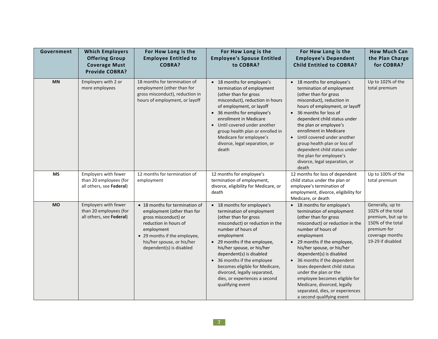| Government | <b>Which Employers</b><br><b>Offering Group</b><br><b>Coverage Must</b><br><b>Provide COBRA?</b> | For How Long is the<br><b>Employee Entitled to</b><br><b>COBRA?</b>                                                                                                                                                   | For How Long is the<br><b>Employee's Spouse Entitled</b><br>to COBRA?                                                                                                                                                                                                                                                                                                                                   | For How Long is the<br><b>Employee's Dependent</b><br><b>Child Entitled to COBRA?</b>                                                                                                                                                                                                                                                                                                                                                                                               | <b>How Much Can</b><br>the Plan Charge<br>for COBRA?                                                                                    |
|------------|--------------------------------------------------------------------------------------------------|-----------------------------------------------------------------------------------------------------------------------------------------------------------------------------------------------------------------------|---------------------------------------------------------------------------------------------------------------------------------------------------------------------------------------------------------------------------------------------------------------------------------------------------------------------------------------------------------------------------------------------------------|-------------------------------------------------------------------------------------------------------------------------------------------------------------------------------------------------------------------------------------------------------------------------------------------------------------------------------------------------------------------------------------------------------------------------------------------------------------------------------------|-----------------------------------------------------------------------------------------------------------------------------------------|
| <b>MN</b>  | Employers with 2 or<br>more employees                                                            | 18 months for termination of<br>employment (other than for<br>gross misconduct), reduction in<br>hours of employment, or layoff                                                                                       | • 18 months for employee's<br>termination of employment<br>(other than for gross<br>misconduct), reduction in hours<br>of employment, or layoff<br>• 36 months for employee's<br>enrollment in Medicare<br>• Until covered under another<br>group health plan or enrolled in<br>Medicare for employee's<br>divorce, legal separation, or<br>death                                                       | • 18 months for employee's<br>termination of employment<br>(other than for gross<br>misconduct), reduction in<br>hours of employment, or layoff<br>36 months for loss of<br>dependent child status under<br>the plan or employee's<br>enrollment in Medicare<br>Until covered under another<br>group health plan or loss of<br>dependent child status under<br>the plan for employee's<br>divorce, legal separation, or<br>death                                                    | Up to 102% of the<br>total premium                                                                                                      |
| <b>MS</b>  | Employers with fewer<br>than 20 employees (for<br>all others, see Federal)                       | 12 months for termination of<br>employment                                                                                                                                                                            | 12 months for employee's<br>termination of employment,<br>divorce, eligibility for Medicare, or<br>death                                                                                                                                                                                                                                                                                                | 12 months for loss of dependent<br>child status under the plan or<br>employee's termination of<br>employment, divorce, eligibility for<br>Medicare, or death                                                                                                                                                                                                                                                                                                                        | Up to 100% of the<br>total premium                                                                                                      |
| <b>MO</b>  | Employers with fewer<br>than 20 employees (for<br>all others, see Federal)                       | • 18 months for termination of<br>employment (other than for<br>gross misconduct) or<br>reduction in hours of<br>employment<br>• 29 months if the employee,<br>his/her spouse, or his/her<br>dependent(s) is disabled | • 18 months for employee's<br>termination of employment<br>(other than for gross<br>misconduct) or reduction in the<br>number of hours of<br>employment<br>• 29 months if the employee,<br>his/her spouse, or his/her<br>dependent(s) is disabled<br>• 36 months if the employee<br>becomes eligible for Medicare,<br>divorced, legally separated,<br>dies, or experiences a second<br>qualifying event | • 18 months for employee's<br>termination of employment<br>(other than for gross<br>misconduct) or reduction in the<br>number of hours of<br>employment<br>29 months if the employee,<br>his/her spouse, or his/her<br>dependent(s) is disabled<br>36 months if the dependent<br>$\bullet$<br>loses dependent child status<br>under the plan or the<br>employee becomes eligible for<br>Medicare, divorced, legally<br>separated, dies, or experiences<br>a second qualifying event | Generally, up to<br>102% of the total<br>premium, but up to<br>150% of the total<br>premium for<br>coverage months<br>19-29 if disabled |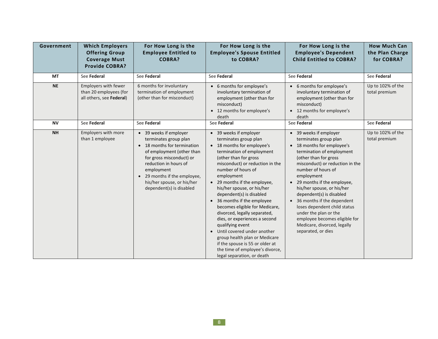| Government | <b>Which Employers</b><br><b>Offering Group</b><br><b>Coverage Must</b><br><b>Provide COBRA?</b> | For How Long is the<br><b>Employee Entitled to</b><br><b>COBRA?</b>                                                                                                                                                                                                      | For How Long is the<br><b>Employee's Spouse Entitled</b><br>to COBRA?                                                                                                                                                                                                                                                                                                                                                                                                                                                                                                                                                          | For How Long is the<br><b>Employee's Dependent</b><br><b>Child Entitled to COBRA?</b>                                                                                                                                                                                                                                                                                                                                                                                         | <b>How Much Can</b><br>the Plan Charge<br>for COBRA? |
|------------|--------------------------------------------------------------------------------------------------|--------------------------------------------------------------------------------------------------------------------------------------------------------------------------------------------------------------------------------------------------------------------------|--------------------------------------------------------------------------------------------------------------------------------------------------------------------------------------------------------------------------------------------------------------------------------------------------------------------------------------------------------------------------------------------------------------------------------------------------------------------------------------------------------------------------------------------------------------------------------------------------------------------------------|-------------------------------------------------------------------------------------------------------------------------------------------------------------------------------------------------------------------------------------------------------------------------------------------------------------------------------------------------------------------------------------------------------------------------------------------------------------------------------|------------------------------------------------------|
| <b>MT</b>  | See Federal                                                                                      | See Federal                                                                                                                                                                                                                                                              | See Federal                                                                                                                                                                                                                                                                                                                                                                                                                                                                                                                                                                                                                    | See Federal                                                                                                                                                                                                                                                                                                                                                                                                                                                                   | See Federal                                          |
| <b>NE</b>  | Employers with fewer<br>than 20 employees (for<br>all others, see Federal)                       | 6 months for involuntary<br>termination of employment<br>(other than for misconduct)                                                                                                                                                                                     | • 6 months for employee's<br>involuntary termination of<br>employment (other than for<br>misconduct)<br>• 12 months for employee's<br>death                                                                                                                                                                                                                                                                                                                                                                                                                                                                                    | • 6 months for employee's<br>involuntary termination of<br>employment (other than for<br>misconduct)<br>12 months for employee's<br>death                                                                                                                                                                                                                                                                                                                                     | Up to 102% of the<br>total premium                   |
| <b>NV</b>  | See Federal                                                                                      | See Federal                                                                                                                                                                                                                                                              | See Federal                                                                                                                                                                                                                                                                                                                                                                                                                                                                                                                                                                                                                    | See Federal                                                                                                                                                                                                                                                                                                                                                                                                                                                                   | See Federal                                          |
| <b>NH</b>  | Employers with more<br>than 1 employee                                                           | • 39 weeks if employer<br>terminates group plan<br>• 18 months for termination<br>of employment (other than<br>for gross misconduct) or<br>reduction in hours of<br>employment<br>• 29 months if the employee,<br>his/her spouse, or his/her<br>dependent(s) is disabled | • 39 weeks if employer<br>terminates group plan<br>• 18 months for employee's<br>termination of employment<br>(other than for gross<br>misconduct) or reduction in the<br>number of hours of<br>employment<br>• 29 months if the employee,<br>his/her spouse, or his/her<br>dependent(s) is disabled<br>• 36 months if the employee<br>becomes eligible for Medicare,<br>divorced, legally separated,<br>dies, or experiences a second<br>qualifying event<br>Until covered under another<br>group health plan or Medicare<br>if the spouse is 55 or older at<br>the time of employee's divorce,<br>legal separation, or death | • 39 weeks if employer<br>terminates group plan<br>18 months for employee's<br>termination of employment<br>(other than for gross<br>misconduct) or reduction in the<br>number of hours of<br>employment<br>29 months if the employee,<br>his/her spouse, or his/her<br>dependent(s) is disabled<br>36 months if the dependent<br>loses dependent child status<br>under the plan or the<br>employee becomes eligible for<br>Medicare, divorced, legally<br>separated, or dies | Up to 102% of the<br>total premium                   |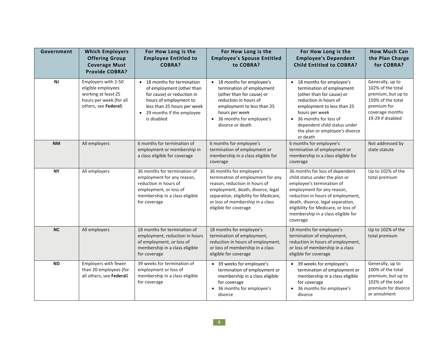| Government | <b>Which Employers</b><br><b>Offering Group</b><br><b>Coverage Must</b><br><b>Provide COBRA?</b>                    | For How Long is the<br><b>Employee Entitled to</b><br><b>COBRA?</b>                                                                                                                           | For How Long is the<br><b>Employee's Spouse Entitled</b><br>to COBRA?                                                                                                                                                                     | For How Long is the<br><b>Employee's Dependent</b><br><b>Child Entitled to COBRA?</b>                                                                                                                                                                                                            | <b>How Much Can</b><br>the Plan Charge<br>for COBRA?                                                                                    |
|------------|---------------------------------------------------------------------------------------------------------------------|-----------------------------------------------------------------------------------------------------------------------------------------------------------------------------------------------|-------------------------------------------------------------------------------------------------------------------------------------------------------------------------------------------------------------------------------------------|--------------------------------------------------------------------------------------------------------------------------------------------------------------------------------------------------------------------------------------------------------------------------------------------------|-----------------------------------------------------------------------------------------------------------------------------------------|
| <b>NJ</b>  | Employers with 2-50<br>eligible employees<br>working at least 25<br>hours per week (for all<br>others, see Federal) | • 18 months for termination<br>of employment (other than<br>for cause) or reduction in<br>hours of employment to<br>less than 25 hours per week<br>• 29 months if the employee<br>is disabled | • 18 months for employee's<br>termination of employment<br>(other than for cause) or<br>reduction in hours of<br>employment to less than 25<br>hours per week<br>• 36 months for employee's<br>divorce or death                           | • 18 months for employee's<br>termination of employment<br>(other than for cause) or<br>reduction in hours of<br>employment to less than 25<br>hours per week<br>36 months for loss of<br>$\bullet$<br>dependent child status under<br>the plan or employee's divorce<br>or death                | Generally, up to<br>102% of the total<br>premium, but up to<br>150% of the total<br>premium for<br>coverage months<br>19-29 if disabled |
| <b>NM</b>  | All employers                                                                                                       | 6 months for termination of<br>employment or membership in<br>a class eligible for coverage                                                                                                   | 6 months for employee's<br>termination of employment or<br>membership in a class eligible for<br>coverage                                                                                                                                 | 6 months for employee's<br>termination of employment or<br>membership in a class eligible for<br>coverage                                                                                                                                                                                        | Not addressed by<br>state statute                                                                                                       |
| <b>NY</b>  | All employers                                                                                                       | 36 months for termination of<br>employment for any reason,<br>reduction in hours of<br>employment, or loss of<br>membership in a class eligible<br>for coverage                               | 36 months for employee's<br>termination of employment for any<br>reason, reduction in hours of<br>employment, death, divorce, legal<br>separation, eligibility for Medicare,<br>or loss of membership in a class<br>eligible for coverage | 36 months for loss of dependent<br>child status under the plan or<br>employee's termination of<br>employment for any reason,<br>reduction in hours of employment,<br>death, divorce, legal separation,<br>eligibility for Medicare, or loss of<br>membership in a class eligible for<br>coverage | Up to 102% of the<br>total premium                                                                                                      |
| <b>NC</b>  | All employers                                                                                                       | 18 months for termination of<br>employment, reduction in hours<br>of employment, or loss of<br>membership in a class eligible<br>for coverage                                                 | 18 months for employee's<br>termination of employment,<br>reduction in hours of employment,<br>or loss of membership in a class<br>eligible for coverage                                                                                  | 18 months for employee's<br>termination of employment,<br>reduction in hours of employment,<br>or loss of membership in a class<br>eligible for coverage                                                                                                                                         | Up to 102% of the<br>total premium                                                                                                      |
| <b>ND</b>  | Employers with fewer<br>than 20 employees (for<br>all others, see Federal)                                          | 39 weeks for termination of<br>employment or loss of<br>membership in a class eligible<br>for coverage                                                                                        | • 39 weeks for employee's<br>termination of employment or<br>membership in a class eligible<br>for coverage<br>36 months for employee's<br>divorce                                                                                        | • 39 weeks for employee's<br>termination of employment or<br>membership in a class eligible<br>for coverage<br>36 months for employee's<br>divorce                                                                                                                                               | Generally, up to<br>100% of the total<br>premium, but up to<br>102% of the total<br>premium for divorce<br>or annulment                 |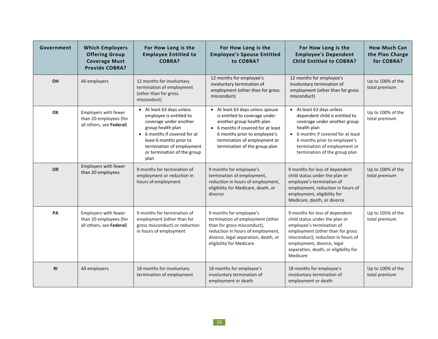| Government     | <b>Which Employers</b><br><b>Offering Group</b><br><b>Coverage Must</b><br><b>Provide COBRA?</b> | For How Long is the<br><b>Employee Entitled to</b><br><b>COBRA?</b>                                                                                                                                                                | For How Long is the<br><b>Employee's Spouse Entitled</b><br>to COBRA?                                                                                                                                                               | For How Long is the<br><b>Employee's Dependent</b><br><b>Child Entitled to COBRA?</b>                                                                                                                                                                      | <b>How Much Can</b><br>the Plan Charge<br>for COBRA? |
|----------------|--------------------------------------------------------------------------------------------------|------------------------------------------------------------------------------------------------------------------------------------------------------------------------------------------------------------------------------------|-------------------------------------------------------------------------------------------------------------------------------------------------------------------------------------------------------------------------------------|------------------------------------------------------------------------------------------------------------------------------------------------------------------------------------------------------------------------------------------------------------|------------------------------------------------------|
| OH             | All employers                                                                                    | 12 months for involuntary<br>termination of employment<br>(other than for gross<br>misconduct)                                                                                                                                     | 12 months for employee's<br>involuntary termination of<br>employment (other than for gross<br>misconduct)                                                                                                                           | 12 months for employee's<br>involuntary termination of<br>employment (other than for gross<br>misconduct)                                                                                                                                                  | Up to 100% of the<br>total premium                   |
| OK             | Employers with fewer<br>than 20 employees (for<br>all others, see Federal)                       | • At least 63 days unless<br>employee is entitled to<br>coverage under another<br>group health plan<br>• 6 months if covered for at<br>least 6 months prior to<br>termination of employment<br>or termination of the group<br>plan | At least 63 days unless spouse<br>is entitled to coverage under<br>another group health plan<br>• 6 months if covered for at least<br>6 months prior to employee's<br>termination of employment or<br>termination of the group plan | • At least 63 days unless<br>dependent child is entitled to<br>coverage under another group<br>health plan<br>• 6 months if covered for at least<br>6 months prior to employee's<br>termination of employment or<br>termination of the group plan          | Up to 100% of the<br>total premium                   |
| <b>OR</b>      | Employers with fewer<br>than 20 employees                                                        | 9 months for termination of<br>employment or reduction in<br>hours of employment                                                                                                                                                   | 9 months for employee's<br>termination of employment,<br>reduction in hours of employment,<br>eligibility for Medicare, death, or<br>divorce                                                                                        | 9 months for loss of dependent<br>child status under the plan or<br>employee's termination of<br>employment, reduction in hours of<br>employment, eligibility for<br>Medicare, death, or divorce                                                           | Up to 100% of the<br>total premium                   |
| PA             | <b>Employers with fewer</b><br>than 20 employees (for<br>all others, see Federal)                | 9 months for termination of<br>employment (other than for<br>gross misconduct) or reduction<br>in hours of employment                                                                                                              | 9 months for employee's<br>termination of employment (other<br>than for gross misconduct),<br>reduction in hours of employment,<br>divorce, legal separation, death, or<br>eligibility for Medicare                                 | 9 months for loss of dependent<br>child status under the plan or<br>employee's termination of<br>employment (other than for gross<br>misconduct), reduction in hours of<br>employment, divorce, legal<br>separation, death, or eligibility for<br>Medicare | Up to 105% of the<br>total premium                   |
| R <sub>l</sub> | All employers                                                                                    | 18 months for involuntary<br>termination of employment                                                                                                                                                                             | 18 months for employee's<br>involuntary termination of<br>employment or death                                                                                                                                                       | 18 months for employee's<br>involuntary termination of<br>employment or death                                                                                                                                                                              | Up to 100% of the<br>total premium                   |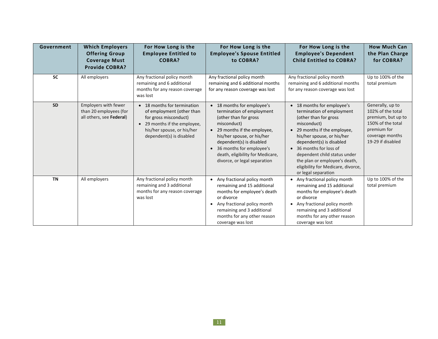| Government | <b>Which Employers</b><br><b>Offering Group</b><br><b>Coverage Must</b><br><b>Provide COBRA?</b> | For How Long is the<br><b>Employee Entitled to</b><br><b>COBRA?</b>                                                                                                         | For How Long is the<br><b>Employee's Spouse Entitled</b><br>to COBRA?                                                                                                                                                                                                                                | For How Long is the<br><b>Employee's Dependent</b><br><b>Child Entitled to COBRA?</b>                                                                                                                                                                                                                                                              | <b>How Much Can</b><br>the Plan Charge<br>for COBRA?                                                                                    |
|------------|--------------------------------------------------------------------------------------------------|-----------------------------------------------------------------------------------------------------------------------------------------------------------------------------|------------------------------------------------------------------------------------------------------------------------------------------------------------------------------------------------------------------------------------------------------------------------------------------------------|----------------------------------------------------------------------------------------------------------------------------------------------------------------------------------------------------------------------------------------------------------------------------------------------------------------------------------------------------|-----------------------------------------------------------------------------------------------------------------------------------------|
| <b>SC</b>  | All employers                                                                                    | Any fractional policy month<br>remaining and 6 additional<br>months for any reason coverage<br>was lost                                                                     | Any fractional policy month<br>remaining and 6 additional months<br>for any reason coverage was lost                                                                                                                                                                                                 | Any fractional policy month<br>remaining and 6 additional months<br>for any reason coverage was lost                                                                                                                                                                                                                                               | Up to 100% of the<br>total premium                                                                                                      |
| <b>SD</b>  | Employers with fewer<br>than 20 employees (for<br>all others, see Federal)                       | • 18 months for termination<br>of employment (other than<br>for gross misconduct)<br>• 29 months if the employee,<br>his/her spouse, or his/her<br>dependent(s) is disabled | • 18 months for employee's<br>termination of employment<br>(other than for gross<br>misconduct)<br>29 months if the employee,<br>$\bullet$<br>his/her spouse, or his/her<br>dependent(s) is disabled<br>36 months for employee's<br>death, eligibility for Medicare,<br>divorce, or legal separation | • 18 months for employee's<br>termination of employment<br>(other than for gross<br>misconduct)<br>• 29 months if the employee,<br>his/her spouse, or his/her<br>dependent(s) is disabled<br>• 36 months for loss of<br>dependent child status under<br>the plan or employee's death,<br>eligibility for Medicare, divorce,<br>or legal separation | Generally, up to<br>102% of the total<br>premium, but up to<br>150% of the total<br>premium for<br>coverage months<br>19-29 if disabled |
| <b>TN</b>  | All employers                                                                                    | Any fractional policy month<br>remaining and 3 additional<br>months for any reason coverage<br>was lost                                                                     | Any fractional policy month<br>$\bullet$<br>remaining and 15 additional<br>months for employee's death<br>or divorce<br>Any fractional policy month<br>$\bullet$<br>remaining and 3 additional<br>months for any other reason<br>coverage was lost                                                   | • Any fractional policy month<br>remaining and 15 additional<br>months for employee's death<br>or divorce<br>Any fractional policy month<br>remaining and 3 additional<br>months for any other reason<br>coverage was lost                                                                                                                         | Up to 100% of the<br>total premium                                                                                                      |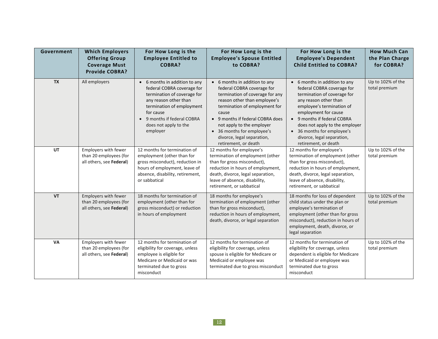| Government | <b>Which Employers</b><br><b>Offering Group</b><br><b>Coverage Must</b>    | For How Long is the<br><b>Employee Entitled to</b><br><b>COBRA?</b>                                                                                                                                                             | For How Long is the<br><b>Employee's Spouse Entitled</b><br>to COBRA?                                                                                                                                                                                                                                                         | For How Long is the<br><b>Employee's Dependent</b><br><b>Child Entitled to COBRA?</b>                                                                                                                                                                                                                                                    | <b>How Much Can</b><br>the Plan Charge<br>for COBRA? |
|------------|----------------------------------------------------------------------------|---------------------------------------------------------------------------------------------------------------------------------------------------------------------------------------------------------------------------------|-------------------------------------------------------------------------------------------------------------------------------------------------------------------------------------------------------------------------------------------------------------------------------------------------------------------------------|------------------------------------------------------------------------------------------------------------------------------------------------------------------------------------------------------------------------------------------------------------------------------------------------------------------------------------------|------------------------------------------------------|
|            | <b>Provide COBRA?</b>                                                      |                                                                                                                                                                                                                                 |                                                                                                                                                                                                                                                                                                                               |                                                                                                                                                                                                                                                                                                                                          |                                                      |
| <b>TX</b>  | All employers                                                              | • 6 months in addition to any<br>federal COBRA coverage for<br>termination of coverage for<br>any reason other than<br>termination of employment<br>for cause<br>9 months if federal COBRA<br>does not apply to the<br>employer | • 6 months in addition to any<br>federal COBRA coverage for<br>termination of coverage for any<br>reason other than employee's<br>termination of employment for<br>cause<br>• 9 months if federal COBRA does<br>not apply to the employer<br>• 36 months for employee's<br>divorce, legal separation,<br>retirement, or death | • 6 months in addition to any<br>federal COBRA coverage for<br>termination of coverage for<br>any reason other than<br>employee's termination of<br>employment for cause<br>9 months if federal COBRA<br>$\bullet$<br>does not apply to the employer<br>• 36 months for employee's<br>divorce, legal separation,<br>retirement, or death | Up to 102% of the<br>total premium                   |
| <b>UT</b>  | Employers with fewer<br>than 20 employees (for<br>all others, see Federal) | 12 months for termination of<br>employment (other than for<br>gross misconduct), reduction in<br>hours of employment, leave of<br>absence, disability, retirement,<br>or sabbatical                                             | 12 months for employee's<br>termination of employment (other<br>than for gross misconduct),<br>reduction in hours of employment,<br>death, divorce, legal separation,<br>leave of absence, disability,<br>retirement, or sabbatical                                                                                           | 12 months for employee's<br>termination of employment (other<br>than for gross misconduct),<br>reduction in hours of employment,<br>death, divorce, legal separation,<br>leave of absence, disability,<br>retirement, or sabbatical                                                                                                      | Up to 102% of the<br>total premium                   |
| <b>VT</b>  | Employers with fewer<br>than 20 employees (for<br>all others, see Federal) | 18 months for termination of<br>employment (other than for<br>gross misconduct) or reduction<br>in hours of employment                                                                                                          | 18 months for employee's<br>termination of employment (other<br>than for gross misconduct),<br>reduction in hours of employment,<br>death, divorce, or legal separation                                                                                                                                                       | 18 months for loss of dependent<br>child status under the plan or<br>employee's termination of<br>employment (other than for gross<br>misconduct), reduction in hours of<br>employment, death, divorce, or<br>legal separation                                                                                                           | Up to 102% of the<br>total premium                   |
| <b>VA</b>  | Employers with fewer<br>than 20 employees (for<br>all others, see Federal) | 12 months for termination of<br>eligibility for coverage, unless<br>employee is eligible for<br>Medicare or Medicaid or was<br>terminated due to gross<br>misconduct                                                            | 12 months for termination of<br>eligibility for coverage, unless<br>spouse is eligible for Medicare or<br>Medicaid or employee was<br>terminated due to gross misconduct                                                                                                                                                      | 12 months for termination of<br>eligibility for coverage, unless<br>dependent is eligible for Medicare<br>or Medicaid or employee was<br>terminated due to gross<br>misconduct                                                                                                                                                           | Up to 102% of the<br>total premium                   |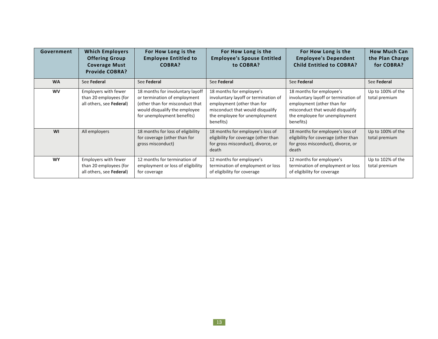| Government | <b>Which Employers</b><br><b>Offering Group</b><br><b>Coverage Must</b><br><b>Provide COBRA?</b> | For How Long is the<br><b>Employee Entitled to</b><br>COBRA?                                                                                                       | For How Long is the<br><b>Employee's Spouse Entitled</b><br>to COBRA?                                                                                                            | For How Long is the<br><b>Employee's Dependent</b><br><b>Child Entitled to COBRA?</b>                                                                                            | <b>How Much Can</b><br>the Plan Charge<br>for COBRA? |
|------------|--------------------------------------------------------------------------------------------------|--------------------------------------------------------------------------------------------------------------------------------------------------------------------|----------------------------------------------------------------------------------------------------------------------------------------------------------------------------------|----------------------------------------------------------------------------------------------------------------------------------------------------------------------------------|------------------------------------------------------|
| <b>WA</b>  | See Federal                                                                                      | See Federal                                                                                                                                                        | See Federal                                                                                                                                                                      | See Federal                                                                                                                                                                      | See Federal                                          |
| <b>WV</b>  | Employers with fewer<br>than 20 employees (for<br>all others, see Federal)                       | 18 months for involuntary layoff<br>or termination of employment<br>(other than for misconduct that<br>would disqualify the employee<br>for unemployment benefits) | 18 months for employee's<br>involuntary layoff or termination of<br>employment (other than for<br>misconduct that would disqualify<br>the employee for unemployment<br>benefits) | 18 months for employee's<br>involuntary layoff or termination of<br>employment (other than for<br>misconduct that would disqualify<br>the employee for unemployment<br>benefits) | Up to 100% of the<br>total premium                   |
| WI         | All employers                                                                                    | 18 months for loss of eligibility<br>for coverage (other than for<br>gross misconduct)                                                                             | 18 months for employee's loss of<br>eligibility for coverage (other than<br>for gross misconduct), divorce, or<br>death                                                          | 18 months for employee's loss of<br>eligibility for coverage (other than<br>for gross misconduct), divorce, or<br>death                                                          | Up to 100% of the<br>total premium                   |
| <b>WY</b>  | <b>Employers with fewer</b><br>than 20 employees (for<br>all others, see Federal)                | 12 months for termination of<br>employment or loss of eligibility<br>for coverage                                                                                  | 12 months for employee's<br>termination of employment or loss<br>of eligibility for coverage                                                                                     | 12 months for employee's<br>termination of employment or loss<br>of eligibility for coverage                                                                                     | Up to 102% of the<br>total premium                   |